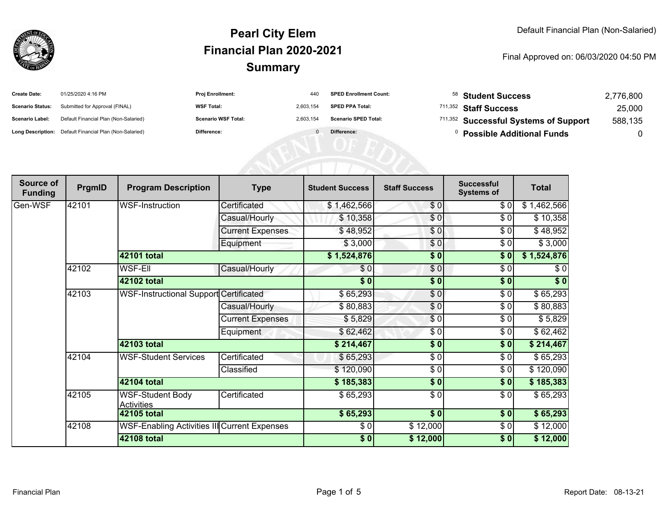

| 01/25/2020 4:16 PM                    |                                                                                           | 440                                                                 | <b>SPED Enrollment Count:</b> |  | 2,776,800                                                                                                                                        |
|---------------------------------------|-------------------------------------------------------------------------------------------|---------------------------------------------------------------------|-------------------------------|--|--------------------------------------------------------------------------------------------------------------------------------------------------|
|                                       |                                                                                           | 2.603.154                                                           | <b>SPED PPA Total:</b>        |  | 25,000                                                                                                                                           |
| Default Financial Plan (Non-Salaried) |                                                                                           | 2.603.154                                                           | <b>Scenario SPED Total:</b>   |  | 588,135                                                                                                                                          |
|                                       | Difference:                                                                               |                                                                     | Difference:                   |  |                                                                                                                                                  |
|                                       | Submitted for Approval (FINAL)<br>Long Description: Default Financial Plan (Non-Salaried) | Proj Enrollment:<br><b>WSF Total:</b><br><b>Scenario WSF Total:</b> |                               |  | $58$ Student Success<br><sup>711,352</sup> Staff Success<br><sup>711,352</sup> Successful Systems of Support<br><b>Possible Additional Funds</b> |

| Source of<br><b>Funding</b> | PrgmID | <b>Program Description</b>                    | <b>Type</b>             | <b>Student Success</b> | <b>Staff Success</b>   | <b>Successful</b><br><b>Systems of</b> | <b>Total</b>             |
|-----------------------------|--------|-----------------------------------------------|-------------------------|------------------------|------------------------|----------------------------------------|--------------------------|
| Gen-WSF                     | 42101  | WSF-Instruction                               | Certificated            | \$1,462,566            | \$0                    | \$ 0                                   | $\overline{\$1,462,566}$ |
|                             |        |                                               | Casual/Hourly           | \$10,358               | \$0                    | \$0                                    | \$10,358                 |
|                             |        |                                               | <b>Current Expenses</b> | \$48,952               | \$0                    | \$0                                    | \$48,952                 |
|                             |        |                                               | Equipment               | \$3,000                | \$0                    | \$0                                    | \$3,000                  |
|                             |        | 42101 total                                   |                         | \$1,524,876            | \$0                    | \$0                                    | \$1,524,876              |
|                             | 42102  | <b>WSF-EII</b>                                | Casual/Hourly           | \$0                    | \$0                    | \$0                                    | \$0                      |
|                             |        | 42102 total                                   |                         | \$0                    | \$0                    | \$0                                    | \$0                      |
|                             | 42103  | <b>WSF-Instructional Support Certificated</b> |                         | \$65,293               | \$0                    | $\frac{1}{\sqrt{2}}$                   | \$65,293                 |
|                             |        |                                               | Casual/Hourly           | \$80,883               | \$0                    | \$0                                    | \$80,883                 |
|                             |        |                                               | <b>Current Expenses</b> | \$5,829                | \$0                    | \$0                                    | \$5,829                  |
|                             |        |                                               | Equipment               | \$62,462               | \$0                    | \$0                                    | \$62,462                 |
|                             |        | 42103 total                                   |                         | \$214,467              | \$0                    | \$0                                    | \$214,467                |
|                             | 42104  | <b>WSF-Student Services</b>                   | Certificated            | \$65,293               | \$0                    | \$0                                    | \$65,293                 |
|                             |        |                                               | Classified              | \$120,090              | \$0                    | \$0                                    | \$120,090                |
|                             |        | 42104 total                                   |                         | \$185,383              | $\overline{\bullet}$ 0 | \$0                                    | \$185,383                |
|                             | 42105  | <b>WSF-Student Body</b><br><b>Activities</b>  | Certificated            | \$65,293               | \$0                    | \$0                                    | \$65,293                 |
|                             |        | 42105 total                                   |                         | \$65,293               | $\overline{\$0}$       | \$0                                    | \$65,293                 |
|                             | 42108  | WSF-Enabling Activities III Current Expenses  |                         | \$0                    | \$12,000               | \$0                                    | \$12,000                 |
|                             |        | 42108 total                                   |                         | \$0                    | \$12,000               | \$0                                    | \$12,000                 |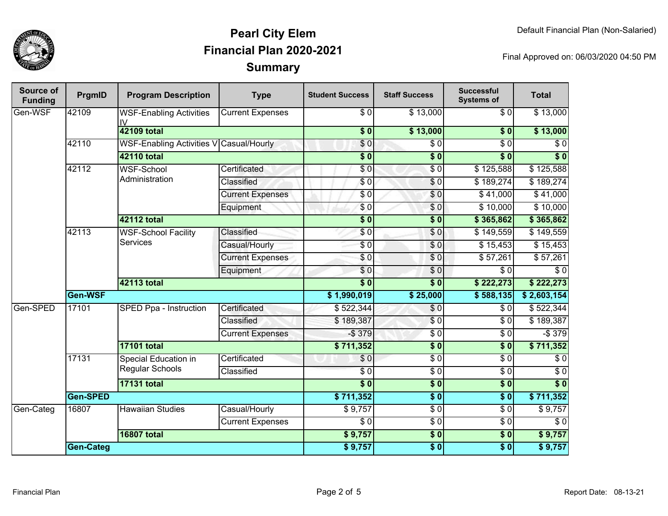

| Source of<br><b>Funding</b> | PrgmID             | <b>Program Description</b>                    | <b>Type</b>             | <b>Student Success</b> | <b>Staff Success</b> | <b>Successful</b><br><b>Systems of</b> | <b>Total</b>     |
|-----------------------------|--------------------|-----------------------------------------------|-------------------------|------------------------|----------------------|----------------------------------------|------------------|
| Gen-WSF                     | 42109              | <b>WSF-Enabling Activities</b><br>IV          | <b>Current Expenses</b> | \$0                    | \$13,000             | \$0                                    | \$13,000         |
|                             |                    | 42109 total                                   |                         | \$0                    | \$13,000             | $\overline{\$0}$                       | \$13,000         |
|                             | 42110              | WSF-Enabling Activities V Casual/Hourly       |                         | $\sqrt{6}$             | $\overline{\$0}$     | $\overline{\$0}$                       | $\overline{\$0}$ |
|                             |                    | <b>42110 total</b>                            |                         | $\overline{\$0}$       | $\overline{\$0}$     | $\overline{\$0}$                       | $\overline{\$0}$ |
|                             | 42112              | <b>WSF-School</b>                             | Certificated            | $\frac{6}{6}$          | $\sqrt{6}$           | \$125,588                              | \$125,588        |
|                             |                    | Administration                                | <b>Classified</b>       | $\frac{6}{6}$          | $\overline{\$0}$     | \$189,274                              | \$189,274        |
|                             |                    |                                               | <b>Current Expenses</b> | \$0                    | \$0                  | \$41,000                               | \$41,000         |
|                             |                    |                                               | Equipment               | \$0                    | \$0                  | \$10,000                               | \$10,000         |
|                             |                    | <b>42112 total</b>                            |                         | $\overline{\$0}$       | $\overline{\$0}$     | \$365,862                              | \$365,862        |
|                             | 42113              | <b>WSF-School Facility</b><br><b>Services</b> | <b>Classified</b>       | \$ 0                   | \$0                  | \$149,559                              | \$149,559        |
|                             |                    |                                               | Casual/Hourly           | $\frac{6}{6}$          | $\sqrt{0}$           | \$15,453                               | \$15,453         |
|                             |                    |                                               | <b>Current Expenses</b> | \$0                    | $\sqrt{6}$           | \$57,261                               | \$57,261         |
|                             |                    |                                               | Equipment               | $\frac{6}{6}$          | $\overline{\$0}$     | $\overline{\$0}$                       | $\overline{\$0}$ |
|                             |                    | 42113 total                                   |                         | $\overline{\$0}$       | $\overline{\$0}$     | \$222,273                              | \$222,273        |
|                             | Gen-WSF            |                                               |                         | \$1,990,019            | \$25,000             | \$588,135                              | \$2,603,154      |
| Gen-SPED                    | 17101              | SPED Ppa - Instruction                        | Certificated            | \$522,344              | \$0                  | \$0                                    | \$522,344        |
|                             |                    |                                               | <b>Classified</b>       | \$189,387              | $\overline{\$0}$     | $\overline{\$0}$                       | \$189,387        |
|                             |                    |                                               | <b>Current Expenses</b> | $-$379$                | $\overline{\$0}$     | $\overline{\$0}$                       | $-$379$          |
|                             |                    | <b>17101 total</b>                            |                         | \$711,352              | $\overline{\$0}$     | $\overline{\$0}$                       | \$711,352        |
|                             | 17131              | Special Education in                          | Certificated            | \$0                    | $\overline{\$0}$     | $\overline{\$0}$                       | $\overline{\$0}$ |
|                             |                    | <b>Regular Schools</b>                        | Classified              | $\frac{1}{6}$          | $\overline{\$0}$     | $\overline{\$0}$                       | $\overline{\$0}$ |
|                             | <b>17131 total</b> |                                               |                         | $\overline{\$0}$       | $\overline{\$0}$     | $\overline{\$0}$                       | $\sqrt{6}$       |
|                             | Gen-SPED           |                                               | \$711,352               | \$0                    | $\overline{\$0}$     | \$711,352                              |                  |
| Gen-Categ                   | 16807              | <b>Hawaiian Studies</b>                       | Casual/Hourly           | \$9,757                | $\overline{\$0}$     | $\overline{\$0}$                       | $\sqrt{$9,757}$  |
|                             |                    |                                               | <b>Current Expenses</b> | $\overline{\$0}$       | $\overline{\$0}$     | $\overline{\$0}$                       | $\overline{\$0}$ |
|                             |                    | <b>16807 total</b>                            |                         | \$9,757                | $\overline{\$0}$     | $\sqrt{6}$                             | \$9,757          |
|                             | Gen-Categ          |                                               |                         | \$9,757                | $\sqrt{6}$           | $\overline{\$0}$                       | \$9,757          |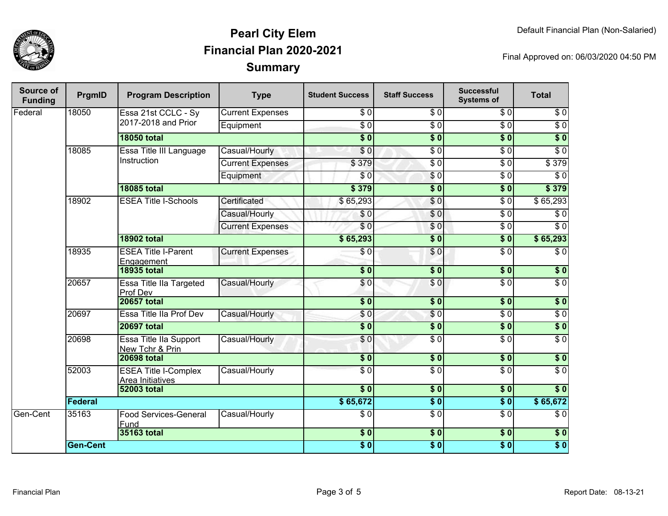

| Source of<br><b>Funding</b> | PrgmID          | <b>Program Description</b>                      | <b>Type</b>             | <b>Student Success</b>                    | <b>Staff Success</b>   | <b>Successful</b><br><b>Systems of</b> | <b>Total</b>     |
|-----------------------------|-----------------|-------------------------------------------------|-------------------------|-------------------------------------------|------------------------|----------------------------------------|------------------|
| Federal                     | 18050           | Essa 21st CCLC - Sy<br>2017-2018 and Prior      | <b>Current Expenses</b> | $\overline{\$0}$                          | $\sqrt{6}$             | $\overline{\$0}$                       | $\sqrt{6}$       |
|                             |                 |                                                 | Equipment               | $\overline{\$0}$                          | $\overline{\$0}$       | $\overline{\$0}$                       | $\sqrt{6}$       |
|                             |                 | <b>18050 total</b>                              |                         | $\overline{\$0}$                          | $\overline{\$0}$       | $\overline{\$0}$                       | $\overline{\$0}$ |
|                             | 18085           | Essa Title III Language<br>Instruction          | Casual/Hourly           | $\overline{\$0}$                          | $\sqrt{6}$             | $\overline{\$0}$                       | $\overline{\$0}$ |
|                             |                 |                                                 | <b>Current Expenses</b> | \$379                                     | $\sqrt{6}$             | $\overline{50}$                        | \$379            |
|                             |                 |                                                 | Equipment               | \$0                                       | $\sqrt{6}$             | $\overline{\$0}$                       | $\overline{\$0}$ |
|                             |                 | <b>18085 total</b>                              |                         | \$379                                     | $\overline{\bullet}$ 0 | $\overline{\$0}$                       | \$379            |
|                             | 18902           | <b>ESEA Title I-Schools</b>                     | Certificated            | \$65,293                                  | \$0                    | \$0                                    | \$65,293         |
|                             |                 |                                                 | Casual/Hourly           | \$0                                       | \$0                    | $\overline{\$0}$                       | $\overline{\$0}$ |
|                             |                 |                                                 | <b>Current Expenses</b> | \$0                                       | \$0                    | $\overline{\$0}$                       | $\overline{S}0$  |
|                             |                 | <b>18902 total</b>                              |                         | \$65,293                                  | $\overline{\$0}$       | $\overline{\$0}$                       | \$65,293         |
|                             | 18935           | <b>ESEA Title I-Parent</b><br><b>Engagement</b> | <b>Current Expenses</b> | $\sqrt{6}$                                | \$0                    | $\overline{\$0}$                       | $\overline{\$0}$ |
|                             |                 | <b>18935 total</b>                              |                         | $\overline{\$0}$                          | $\overline{\$0}$       | $\overline{\$0}$                       | $\overline{\$0}$ |
|                             | 20657           | Essa Title IIa Targeted<br>Prof Dev             | Casual/Hourly           | \$0                                       | \$0                    | $\overline{\$0}$                       | $\overline{\$0}$ |
|                             |                 | <b>20657 total</b>                              |                         | $\overline{\bullet}$                      | $\sqrt{6}$             | $\overline{\$0}$                       | $\overline{\$0}$ |
|                             | 20697           | Essa Title IIa Prof Dev                         | Casual/Hourly           | \$0                                       | \$0                    | $\sqrt{6}$                             | $\sqrt{6}$       |
|                             |                 | <b>20697 total</b>                              |                         | $\overline{\$0}$                          | \$0                    | $\overline{\$0}$                       | $\overline{\$0}$ |
|                             | 20698           | Essa Title IIa Support<br>New Tchr & Prin       | Casual/Hourly           | \$0                                       | $\overline{\$0}$       | $\overline{\$0}$                       | $\overline{S}0$  |
|                             |                 | <b>20698 total</b>                              |                         | $\overline{\$0}$                          | $\overline{\$0}$       | 50                                     | $\overline{\$0}$ |
|                             | 52003           | <b>ESEA Title I-Complex</b><br>Area Initiatives | Casual/Hourly           | $\overline{S}0$                           | $\overline{\$0}$       | $\overline{\$0}$                       | $\overline{\$0}$ |
|                             |                 | <b>52003 total</b>                              |                         | $\overline{\bullet}$ $\overline{\bullet}$ | $\overline{\$0}$       | 30                                     | $\overline{\$0}$ |
|                             | Federal         |                                                 |                         | \$65,672                                  | $\overline{\$0}$       | $\overline{\$}0$                       | \$65,672         |
| Gen-Cent                    | 35163           | <b>Food Services-General</b><br>Fund            | Casual/Hourly           | \$0                                       | $\overline{\$0}$       | $\overline{\$0}$                       | $\overline{\$0}$ |
|                             |                 | 35163 total                                     |                         | \$0                                       | \$0                    | $\overline{\$0}$                       | $\overline{\$0}$ |
|                             | <b>Gen-Cent</b> |                                                 |                         | \$0]                                      | $\overline{\$0}$       | $\overline{\$0}$                       | $\overline{\$0}$ |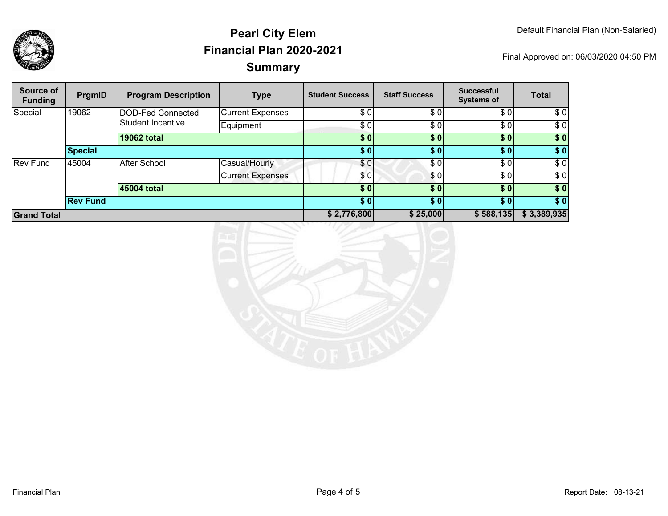

| Source of<br><b>Funding</b> | PrgmID          | <b>Program Description</b>             | <b>Type</b>             | <b>Student Success</b> | <b>Staff Success</b> | <b>Successful</b><br><b>Systems of</b> | <b>Total</b> |
|-----------------------------|-----------------|----------------------------------------|-------------------------|------------------------|----------------------|----------------------------------------|--------------|
| Special                     | 19062           | DOD-Fed Connected<br>Student Incentive | <b>Current Expenses</b> | \$0                    | \$0                  | \$0                                    | \$0          |
|                             |                 |                                        | Equipment               | \$0                    | \$0                  | \$0                                    | \$0          |
|                             |                 | <b>19062 total</b>                     |                         | \$0                    | \$0                  | \$0                                    | \$0          |
| <b>Special</b>              |                 |                                        | \$0]                    | $\bm{s}$ 0             | \$01                 | \$0                                    |              |
| <b>Rev Fund</b>             | 45004           | <b>After School</b>                    | Casual/Hourly           | \$0                    | \$0                  | \$0                                    | \$0          |
|                             |                 |                                        | <b>Current Expenses</b> | \$0                    | \$0'                 | \$0                                    | \$0          |
|                             |                 | 45004 total                            |                         | \$0                    | \$0                  | \$0]                                   | \$0          |
|                             | <b>Rev Fund</b> |                                        |                         | \$0]                   | \$0                  | \$01                                   | \$0          |
| <b>Grand Total</b>          |                 |                                        | \$2,776,800             | \$25,000               | \$588,135            | \$3,389,935                            |              |